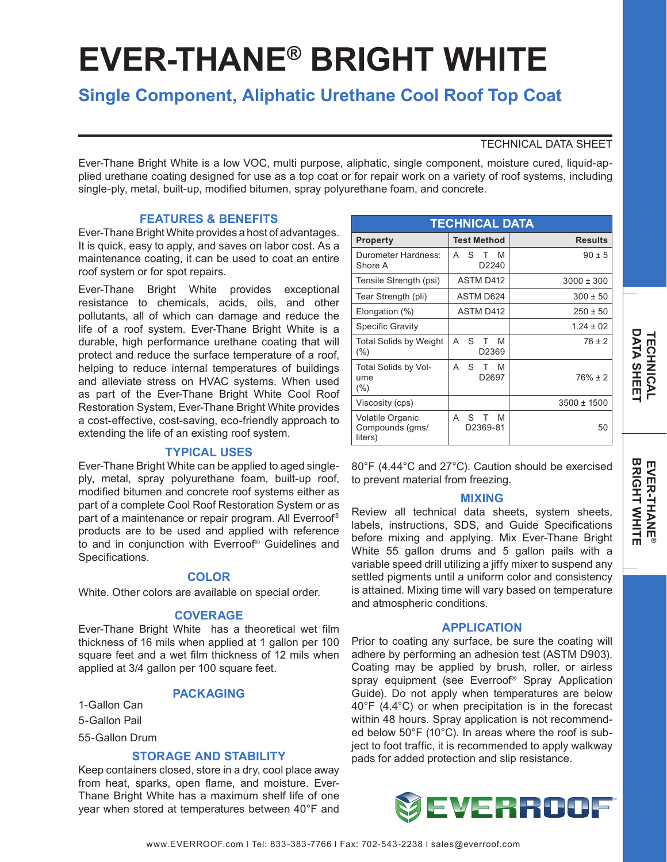# **EVER-THANE® BRIGHT WHITE**

# **Single Component, Aliphatic Urethane Cool Roof Top Coat**

# TECHNICAL DATA SHEET

Ever-Thane Bright White is a low VOC, multi purpose, aliphatic, single component, moisture cured, liquid-applied urethane coating designed for use as a top coat or for repair work on a variety of roof systems, including single-ply, metal, built-up, modified bitumen, spray polyurethane foam, and concrete.

# **FEATURES & BENEFITS**

Ever-Thane Bright White provides a host of advantages. It is quick, easy to apply, and saves on labor cost. As a maintenance coating, it can be used to coat an entire roof system or for spot repairs.

Ever-Thane Bright White provides exceptional resistance to chemicals, acids, oils, and other pollutants, all of which can damage and reduce the life of a roof system. Ever-Thane Bright White is a durable, high performance urethane coating that will protect and reduce the surface temperature of a roof, helping to reduce internal temperatures of buildings and alleviate stress on HVAC systems. When used as part of the Ever-Thane Bright White Cool Roof Restoration System, Ever-Thane Bright White provides a cost-effective, cost-saving, eco-friendly approach to extending the life of an existing roof system.

# **TYPICAL USES**

Ever-Thane Bright White can be applied to aged singleply, metal, spray polyurethane foam, built-up roof, modified bitumen and concrete roof systems either as part of a complete Cool Roof Restoration System or as part of a maintenance or repair program. All Everroof® products are to be used and applied with reference to and in conjunction with Everroof® Guidelines and Specifications.

# **COLOR**

White. Other colors are available on special order.

#### **COVERAGE**

Ever-Thane Bright White has a theoretical wet film thickness of 16 mils when applied at 1 gallon per 100 square feet and a wet film thickness of 12 mils when applied at 3/4 gallon per 100 square feet.

# **PACKAGING**

1-Gallon Can 5-Gallon Pail 55-Gallon Drum

# **STORAGE AND STABILITY**

Keep containers closed, store in a dry, cool place away from heat, sparks, open flame, and moisture. Ever-Thane Bright White has a maximum shelf life of one year when stored at temperatures between 40°F and

| <b>TECHNICAL DATA</b>                          |                              |                 |
|------------------------------------------------|------------------------------|-----------------|
| <b>Property</b>                                | <b>Test Method</b>           | <b>Results</b>  |
| Durometer Hardness:<br>Shore A                 | S<br>M<br>А<br>Т<br>D2240    | $90 \pm 5$      |
| Tensile Strength (psi)                         | ASTM D412                    | $3000 \pm 300$  |
| Tear Strength (pli)                            | ASTM D624                    | $300 \pm 50$    |
| Elongation (%)                                 | ASTM D412                    | $250 \pm 50$    |
| Specific Gravity                               |                              | $1.24 \pm 02$   |
| Total Solids by Weight<br>$(\% )$              | S<br>A<br>M<br>т<br>D2369    | $76 \pm 2$      |
| Total Solids by Vol-<br>ume.<br>(%)            | S<br>А<br>M<br>Т<br>D2697    | $76\% \pm 2$    |
| Viscosity (cps)                                |                              | $3500 \pm 1500$ |
| Volatile Organic<br>Compounds (gms/<br>liters) | S<br>M<br>А<br>Т<br>D2369-81 | 50              |

80°F (4.44°C and 27°C). Caution should be exercised to prevent material from freezing.

### **MIXING**

Review all technical data sheets, system sheets, labels, instructions, SDS, and Guide Specifications before mixing and applying. Mix Ever-Thane Bright White 55 gallon drums and 5 gallon pails with a variable speed drill utilizing a jiffy mixer to suspend any settled pigments until a uniform color and consistency is attained. Mixing time will vary based on temperature and atmospheric conditions.

# **APPLICATION**

Prior to coating any surface, be sure the coating will adhere by performing an adhesion test (ASTM D903). Coating may be applied by brush, roller, or airless spray equipment (see Everroof® Spray Application Guide). Do not apply when temperatures are below 40°F (4.4°C) or when precipitation is in the forecast within 48 hours. Spray application is not recommended below 50°F (10°C). In areas where the roof is subject to foot traffic, it is recommended to apply walkway pads for added protection and slip resistance.